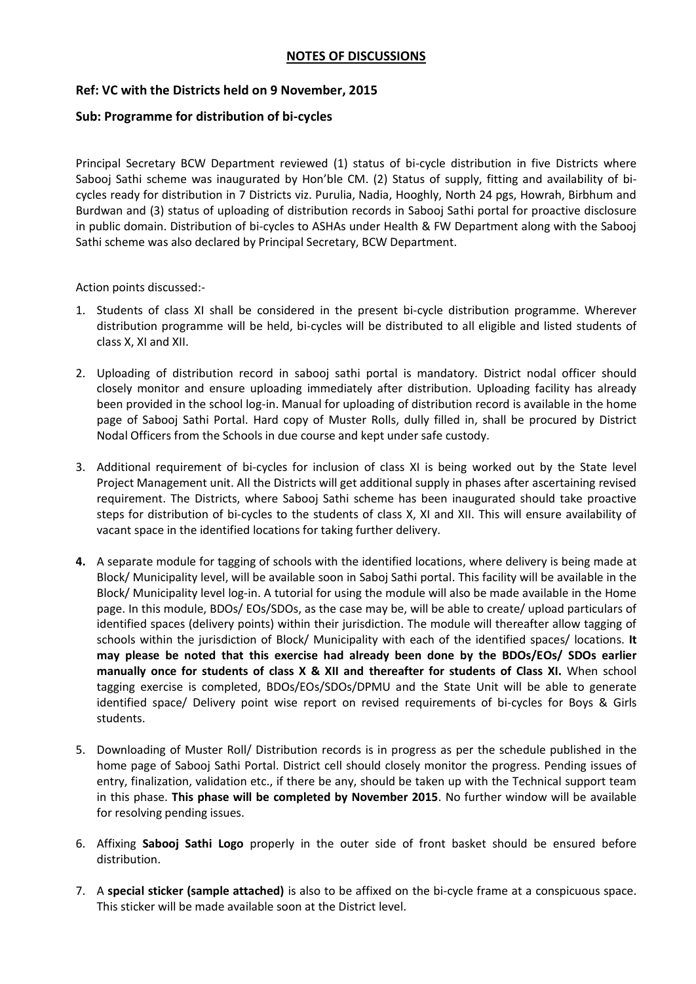## **NOTES OF DISCUSSIONS**

## **Ref: VC with the Districts held on 9 November, 2015**

## **Sub: Programme for distribution of bi-cycles**

Principal Secretary BCW Department reviewed (1) status of bi-cycle distribution in five Districts where Sabooj Sathi scheme was inaugurated by Hon'ble CM. (2) Status of supply, fitting and availability of bicycles ready for distribution in 7 Districts viz. Purulia, Nadia, Hooghly, North 24 pgs, Howrah, Birbhum and Burdwan and (3) status of uploading of distribution records in Sabooj Sathi portal for proactive disclosure in public domain. Distribution of bi-cycles to ASHAs under Health & FW Department along with the Sabooj Sathi scheme was also declared by Principal Secretary, BCW Department.

Action points discussed:-

- 1. Students of class XI shall be considered in the present bi-cycle distribution programme. Wherever distribution programme will be held, bi-cycles will be distributed to all eligible and listed students of class X, XI and XII.
- 2. Uploading of distribution record in sabooj sathi portal is mandatory. District nodal officer should closely monitor and ensure uploading immediately after distribution. Uploading facility has already been provided in the school log-in. Manual for uploading of distribution record is available in the home page of Sabooj Sathi Portal. Hard copy of Muster Rolls, dully filled in, shall be procured by District Nodal Officers from the Schools in due course and kept under safe custody.
- 3. Additional requirement of bi-cycles for inclusion of class XI is being worked out by the State level Project Management unit. All the Districts will get additional supply in phases after ascertaining revised requirement. The Districts, where Sabooj Sathi scheme has been inaugurated should take proactive steps for distribution of bi-cycles to the students of class X, XI and XII. This will ensure availability of vacant space in the identified locations for taking further delivery.
- **4.** A separate module for tagging of schools with the identified locations, where delivery is being made at Block/ Municipality level, will be available soon in Saboj Sathi portal. This facility will be available in the Block/ Municipality level log-in. A tutorial for using the module will also be made available in the Home page. In this module, BDOs/ EOs/SDOs, as the case may be, will be able to create/ upload particulars of identified spaces (delivery points) within their jurisdiction. The module will thereafter allow tagging of schools within the jurisdiction of Block/ Municipality with each of the identified spaces/ locations. **It may please be noted that this exercise had already been done by the BDOs/EOs/ SDOs earlier manually once for students of class X & XII and thereafter for students of Class XI.** When school tagging exercise is completed, BDOs/EOs/SDOs/DPMU and the State Unit will be able to generate identified space/ Delivery point wise report on revised requirements of bi-cycles for Boys & Girls students.
- 5. Downloading of Muster Roll/ Distribution records is in progress as per the schedule published in the home page of Sabooj Sathi Portal. District cell should closely monitor the progress. Pending issues of entry, finalization, validation etc., if there be any, should be taken up with the Technical support team in this phase. **This phase will be completed by November 2015**. No further window will be available for resolving pending issues.
- 6. Affixing **Sabooj Sathi Logo** properly in the outer side of front basket should be ensured before distribution.
- 7. A **special sticker (sample attached)** is also to be affixed on the bi-cycle frame at a conspicuous space. This sticker will be made available soon at the District level.